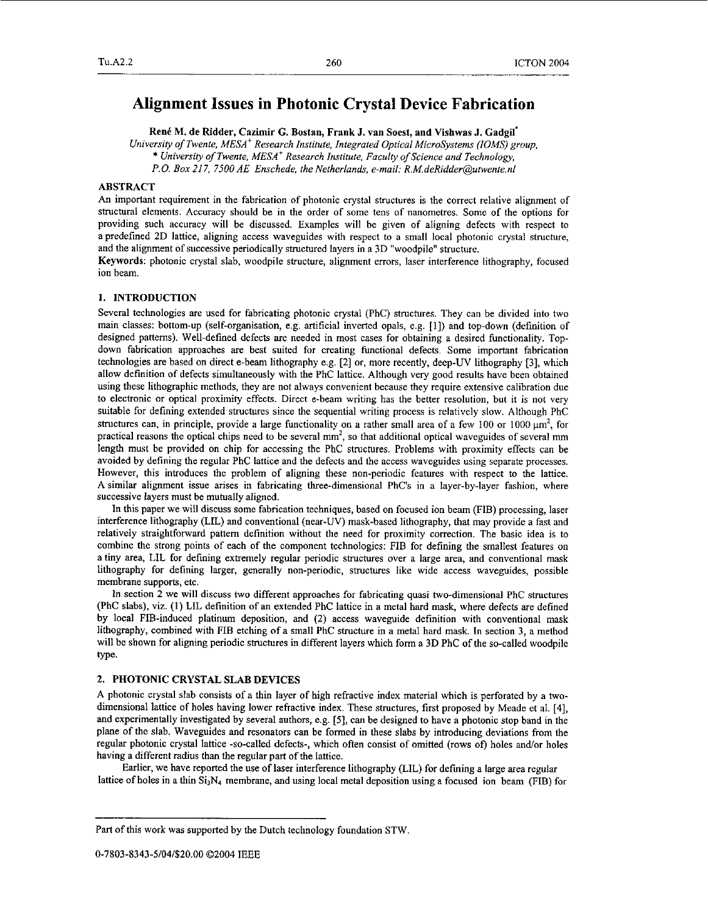# **Alignment Issues in Photonic Crystal Device Fabrication**

**Red M.** de Ridder, Cazimir *G.* Bostan, Frank **J.** van Soest, and Vishwas **J.** Gadgil'

*University of Twente, MESA' Research Institute, Integrated Optical MicroSystems (IOMS) group,*  \* *University ofTwente, MESA' Research Institute, Faculty of Science and Technology,* 

*P.O. Box 21 7, 7500 AE Enschede, the Netherlands, e-mail: R.M.deRidder@urwente.nl* 

## ABSTRACT

An important requirement in the fabrication of photonic crystal structures is the correct relative alignment of structural elements. Accuracy should be in the order of some tens of nanometres. Some of the options for providing such accuracy will be discussed. Examples will be given of aligning defects with respect to a predefined 2D lattice, aligning access waveguides with respect to a small local photonic crystal structure, and the alignment of successive periodically structured layers in a 3D "woodpile" structure.

Keywords: photonic crystal slab, woodpile structure, alignment errors, laser interference lithography, focused ion beam.

## **1.** INTRODUCTION

Several technologies are used for fabricating photonic crystal (PhC) structures. They can be divided into two main classes: bottom-up (self-organisation, e.g. artificial inverted opals, e.g. [l]) and top-down (definition of designed patterns). Well-defined defects are needed in most cases for obtaining a desired functionality. Topdown fabrication approaches are best suited for creating functional defects. Some important fabrication technologies are based on direct e-beam lithography e.g. [2] or, more recently, deep-UV lithography [3], which allow definition of defects simultaneously with the PhC lattice. Although very good results have been obtained using these lithographic methods, they are not always convenient because they require extensive calibration due to electronic or optical proximity effects. Direct e-beam writing bas the better resolution, but it is not very suitable for defining extended structures since the sequential writing process is relatively slow. Although PhC structures can, in principle, provide a large functionality on a rather small area of a few  $100$  or  $1000 \mu m^2$ , for practical reasons the optical chips need to be several **mm2,** so that additional optical waveguides of several mm length must be provided on chip for accessing the PhC structures. Problems with proximity effects can be avoided by defining the regular PhC lattice and the defects and the access waveguides using separate processes. However, this introduces the problem of aligning these non-periodic features with respect to the lattice. A similar alignment issue arises in fabricating three-dimensional PhC's in a layer-by-layer fashion, where successive layers must be mutually aligned.

In this paper we will discuss some fabrication techniques, based on focused ion beam (FIB) processing, laser interference lithography (LIL) and conventional (near-UV) mask-based lithography, that may provide a fast and relatively straightforward pattern definition without the need for proximity correction. The basic idea is to combine the strong points of each of the component technologies: FIB for defining the smallest features on a tiny area, LIL for defining extremely regular periodic structures over a large area, and conventional mask lithography for defining larger, generally non-periodic, structures like wide access waveguides, possible membrane supports, etc.

In section **2** we will discuss two different approaches for fabricating quasi two-dimensional PhC struchues (PhC slabs), viz. (1) LIL definition of an extended PhC lattice in a metal hard mask, where defects are defined by local FIB-induced platinum deposition, and (2) access waveguide definition with conventional mask lithography, combined with FIB etching of a small PhC structure in a metal hard mask. In section **3,** a method will be shown for aligning periodic structures in different layers which form a 3D PhC of the so-called woodpile type.

## **2.** PHOTONIC CRYSTAL SLAB DEVICES

A photonic crystal slab consists of a thin layer of high refractive index material which is perforated by a twodimensional lattice of holes having lower refractive index. These structures, first proposed by Meade et al. [4], and experimentally investigated by several authors, e.g. [SI, can be designed to have a photonic stop band in the plane of the slab. Waveguides and resonators can be formed in these slabs by introducing deviations from the regular photonic crystal lattice -so-called defects-, which often consist of omitted (rows of) holes and/or holes having a different radius than the regular part of the lattice.

lattice of holes in a thin  $Si<sub>3</sub>N<sub>4</sub>$  membrane, and using local metal deposition using a focused ion beam (FIB) for Earlier, we have reported the use of laser interference lithography (LIL) for defming a large area regular

Part of this work was supported by the Dutch technology foundation STW.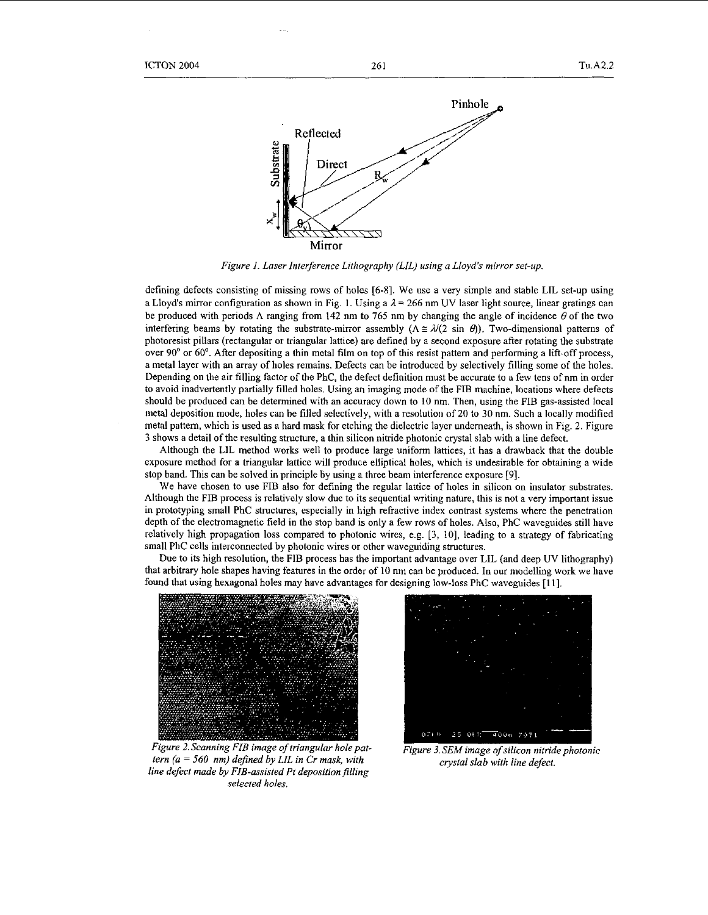

*Figure 1. Laser Interference Lithography (LIL) using a Lloyd's mirror set-up.* 

defining defects consisting of missing rows of holes **[6-81.** We use **a** very simple and stable LIL set-up using a Lloyd's mirror configuration as shown in Fig. 1. Using a  $\lambda = 266$  nm UV laser light source, linear gratings can a Lioya's infirite configuration as shown in Fig. 1. Using a  $\lambda = 200$  nm UV laser light source, linear gradings can<br>be produced with periods  $\Lambda$  ranging from 142 nm to 765 nm by changing the angle of incidence  $\theta$  of t photoresist pillars (rectangular or triangular lattice) are defined by a second exposure after rotating the substrate over 90' or 60". After depositing a thin metal film on top of this resist pattern and performing a lift-off process, a metal layer with an array of holes remains. Defects can be introduced by selectively filling some of the holes. Depending on the air filling factor of the PhC, the defect definition must be accurate to a few tens of nm in order to avoid inadvertently partially filled holes. Using an imaging mode of the FIB machine, locations where defects should be produced can be determined with an accuracy down to **IO** nm. Then, using the FIB gas-assisted local metal deposition mode, holes can he filled selectively, with **a** resolution of 20 to 30 nm. Such **a** locally modified metal pattern, which **is** used as a hard mask for etching the dielectric layer underneath, is shown in Fig. *2.* Figure 3 shows a detail of the resulting structure, a thin silicon nitride photonic crystal slab with a line defect.

Although the LIL method works well to produce large uniform lattices, it has **a** drawback that the double exposure method for a triangular lattice will produce elliptical holes, which is undesirable for obtaining **a** wide stop band. This can be solved in principle by using **a** three beam interference exposure *[9].* 

We have chosen to use FIB also for defining the regular lattice of holes in silicon on insulator substrates. Although the FIB process is relatively slow due to its sequential writing nature, this is not **a** very important issue in prototyping small PhC structures, especially in high refractive index contrast systems where the penetration depth of the electromagnetic field in the stop band is only a few rows of holes. **Also,** PhC waveguides still have relatively high propagation loss compared to photonic wires, e.g. [3, IO], leading to a strategy of fabricating small PhC cells interconnected by photonic wires or other waveguiding structures.

Due to its high resolution, the FIB process has the important advantage over LIL (and deep UV lithography) that arbitrary hole shapes having features in the order of 10 nm can be produced. In our modelling work we have found that using hexagonal boles may have advantages for designing low-loss PhC waveguides **[l I].** 



Figure 2. Scanning FIB image of triangular hole pat*tern (a* = *560 nm) defined by LIL in Cr mask, with line defect made by FIB-assisted Pt deposition filling selected holes.* 



**Figure 3. SEM image of silicon nitride photonic** *crystal slab with line defect*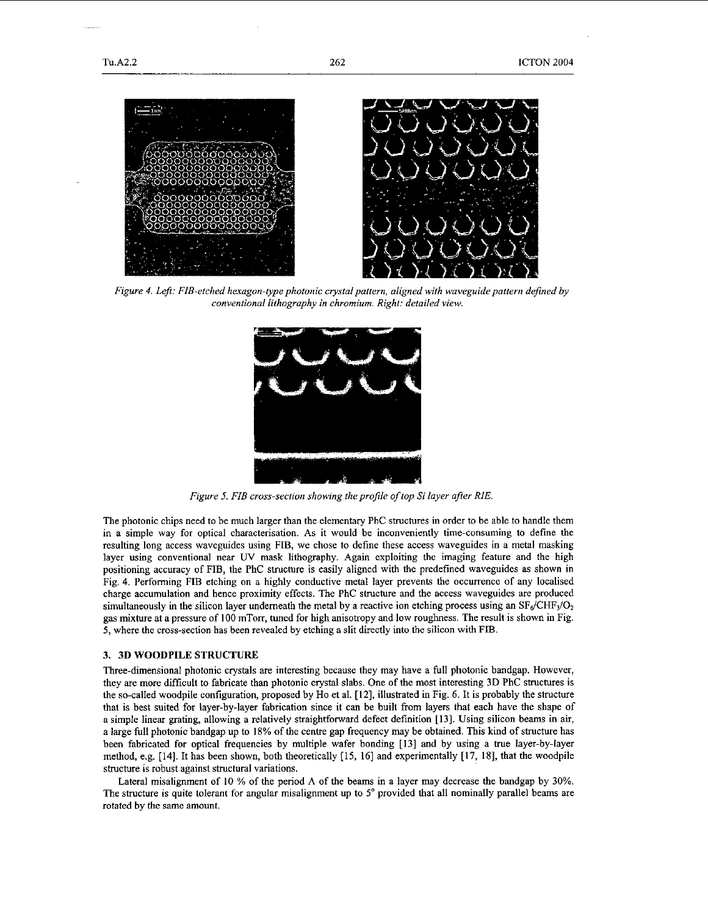

*Figure 4. Left: FIB-etched hexagon-type photonic crystal pattern, aligned with waveguide pattern defined by conventional lithography in chromium. Right: detailed view.* 



*Figure 5. FIB cross-section showing the profile of top Si layer after ME.* 

The photonic chips need to be much larger than the elementary PhC structures in order to be able to handle them in a simple way for optical characterisation. As it would be inconveniently time-consuming to define the resulting long access waveguides using FIB, we chose to define these access waveguides in a metal masking layer using conventional near UV mask lithography. Again exploiting the imaging feature and the high positioning accuracy of FIB, the PhC structure is easily aligned with the predefined waveguides as shown in Fig. **4.** Performing FIB etching on a highly conductive metal layer prevents the occurrence of any localised charge accumulation and hence proximity effects. The PhC structure and the access waveguides are produced simultaneously in the silicon layer underneath the metal by a reactive ion etching process using an  $SF<sub>6</sub>/CHF<sub>3</sub>/O<sub>2</sub>$ gas mixture at apressure of 100 mTorr, tuned for high anisotropy and low roughness. The result is shown in Fig. **5,** where the cross-section has been revealed by etching a slit directly into the silicon with FIB.

#### **3. 3D** WOODPILE **STRUCTURE**

Three-dimensional photonic crystals are interesting because they may have a full photonic handgap. However, they are more difficult to fabricate than photonic crystal slabs. One of the most interesting **3D** PhC structures is the so-called woodpile configuration, proposed by Ho et al. **[12],** illustrated in [Fig. 6.](#page-3-0) It is probably the structure that is hest suited for layer-by-layer fabrication since it can be built from layers that each have the shape of a simple linear grating, allowing a relatively straightforward defect definition **[13].** Using silicon beams in air, a large full photonic bandgap up to 18% of the centre gap frequency may he obtained. This kind of structure has been fabricated for optical frequencies by multiple wafer bonding **[I31** and by using a true layer-by-layer method, e.g. [14]. It has been shown, both theoretically [15, **161** and experimentally **[17,** 181, that the woodpile structure **is** robust against structural variations.

Lateral misalignment of 10 % of the period  $\Lambda$  of the beams in a layer may decrease the bandgap by 30%. The structure is quite tolerant for angular misalignment up to **5"** provided that all nominally parallel beams are rotated hy the same amount.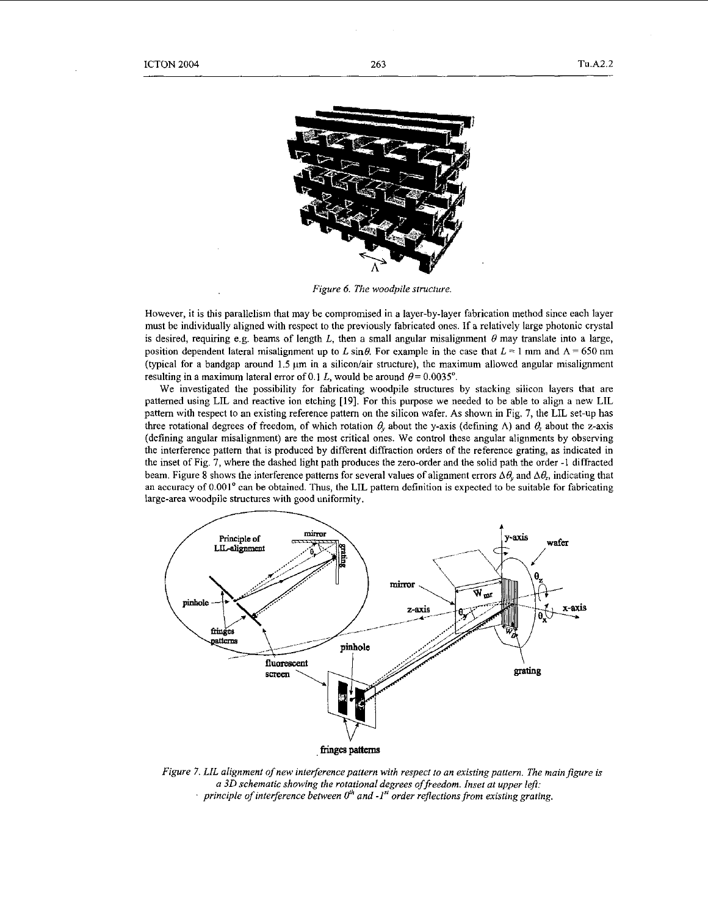<span id="page-3-0"></span>

*Figure 6. The woodpile stmcfure.* 

However, it is this parallelism that may be compromised in a layer-by-layer fabrication method since each layer must be individually aligned with respect to the previously fabricated ones. If a relatively large photonic crystal is desired, requiring e.g. beams of length *L*, then a small angular misalignment  $\theta$  may translate into a large, position dependent lateral misalignment up to *L* sin $\theta$ . For example in the case that  $L = 1$  mm and  $\Lambda = 650$  nm (typical for a bandgap around 1.5  $\mu$ m in a silicon/air structure), the maximum allowed angular misalignment resulting in a maximum lateral error of 0.1 *L*, would be around  $\theta = 0.0035^{\circ}$ .

We investigated the possibility for fabricating woodpile structures by stacking silicon layers that are patterned using LIL and reactive ion etching **[19].** For this purpose we needed to be able to align a new LIL pattern with respect to an existing reference pattern on the silicon wafer. As shown in Fig. 7, the LIL set-up has three rotational degrees of freedom, of which rotation  $\theta$ , about the y-axis (defining  $\Lambda$ ) and  $\theta$ <sub>z</sub> about the z-axis (defining angular misalignment) are the most critical ones. We control these angular alignments by observing the interference pattern that is produced by different diffraction orders of the reference grating, as indicated in the inset of Fig. 7, where the dashed light path produces the zero-order and the solid path the order -1 diffracted beam. Figure 8 shows the interference patterns for several values of alignment errors  $\Delta\theta$ , and  $\Delta\theta_z$ , indicating that an accuracy of 0.001° can be obtained. Thus, the LIL pattern definition is expected to be suitable for fabricating large-area woodpile structures with good uniformity.



*Figure 7. LIL alignment of new interference pattern with respect to an existing pattern. The main figure is a 30 schematic showing the rotational degrees offreedom. Inset at upper left: principle of inteference between O'h and -1" order rejlectionsfrom existing grating.*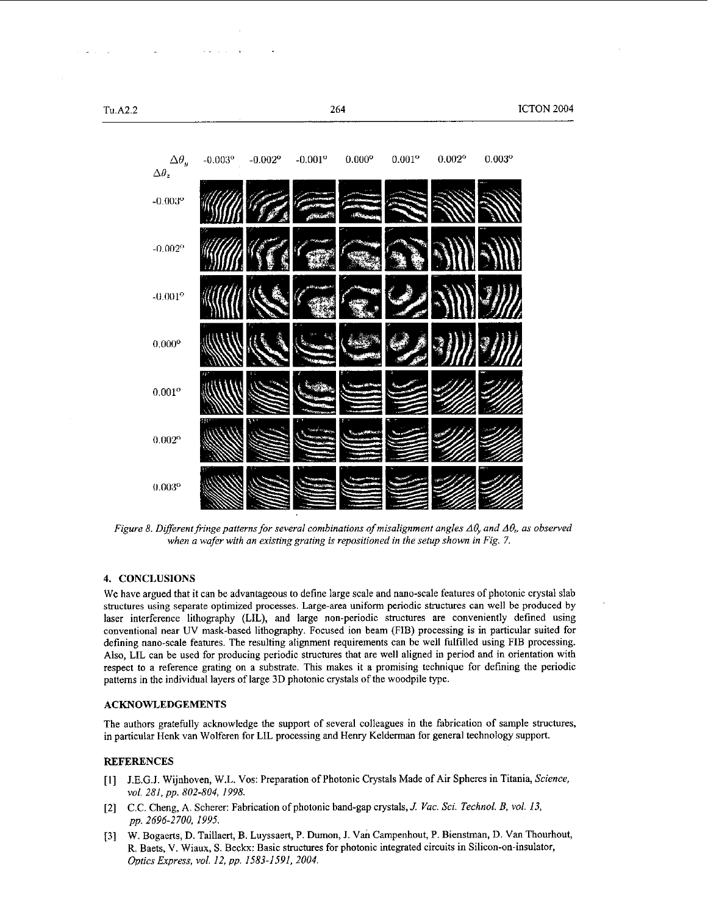

*Figure 8. Different fringe patterns for several combinations of misalignment angles*  $\Delta\theta$ *, and*  $\Delta\theta$ *, as observed* when a wafer with an existing grating is repositioned in the setup shown in [Fig. 7.](#page-3-0)

## **4. CONCLUSIONS**

We have argued that it can be advantageous to define large scale and nano-scale features of photonic crystal slab structures using separate optimized processes. Large-area uniform periodic structures can well be produced by laser interference lithography (LIL), and large non-periodic structures are conveniently defined using conventional near UV mask-based lithography. Focused ion beam (FIB) processing is in particular suited for defining nano-scale features. The resulting alignment requirements can be well fulfilled using FIB processing. **Also,** LIL can be used for producing periodic structures that are well aligned in period and in orientation with respect to a reference grating on a substrate. This makes it a promising technique for defining the periodic patterns in the individual layers of large **3D** photonic crystals of the woodpile type.

#### **ACKNOWLEDGEMENTS**

The authors gratefully acknowledge the support of several colleagues in the fabrication of sample structures, in particular Henk van Wolferen for LIL processing and Henry Kelderman for general technology support.

### **REFERENCES**

- $[1]$ J.E.G.J. Wijnhoven, W.L. Vos: Preparation of Photonic Crystals Made of Air Spheres in Titania, *Science, vol. 281, pp. 802-804, 1998.*
- [2] C.C. Cheng, **A.** Scherer: Fabrication of photonic hand-gap crystals, *J. Vac.* Sei. *Technol. B. vol. 13, pp. 2696.2700. 1995.*
- **[3] W.** Bogaerts, D. Taillaert, B. Luyssaert, P. Dumon, J. Van Campenhout, P. Bienstman, D. Van Thourhout, R. Baets, V. Wiaux, S. Beck: Basic structures for photonic integrated circuits in Silicon-on-insulator, *Optics Express, vol. 12, pp. 1583-1591. 2004.*